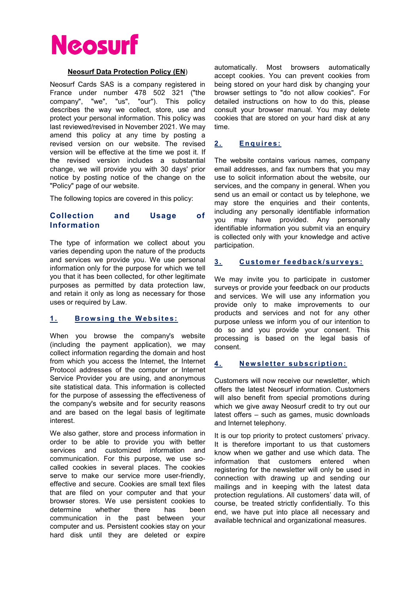

#### Neosurf Data Protection Policy (EN)

Neosurf Cards SAS is a company registered in France under number 478 502 321 ("the company", "we", "us", "our"). This policy describes the way we collect, store, use and protect your personal information. This policy was last reviewed/revised in November 2021. We may amend this policy at any time by posting a revised version on our website. The revised version will be effective at the time we post it. If the revised version includes a substantial change, we will provide you with 30 days' prior notice by posting notice of the change on the "Policy" page of our website.

The following topics are covered in this policy:

## Collection and Usage of Information

The type of information we collect about you varies depending upon the nature of the products and services we provide you. We use personal information only for the purpose for which we tell you that it has been collected, for other legitimate purposes as permitted by data protection law, and retain it only as long as necessary for those uses or required by Law.

#### 1. Browsing the Websites:

When you browse the company's website (including the payment application), we may collect information regarding the domain and host from which you access the Internet, the Internet Protocol addresses of the computer or Internet Service Provider you are using, and anonymous site statistical data. This information is collected for the purpose of assessing the effectiveness of the company's website and for security reasons and are based on the legal basis of legitimate interest.

We also gather, store and process information in order to be able to provide you with better services and customized information and communication. For this purpose, we use socalled cookies in several places. The cookies serve to make our service more user-friendly, effective and secure. Cookies are small text files that are filed on your computer and that your browser stores. We use persistent cookies to determine whether there has been communication in the past between your computer and us. Persistent cookies stay on your hard disk until they are deleted or expire

automatically. Most browsers automatically accept cookies. You can prevent cookies from being stored on your hard disk by changing your browser settings to "do not allow cookies". For detailed instructions on how to do this, please consult your browser manual. You may delete cookies that are stored on your hard disk at any time.

#### 2. Enquires:

The website contains various names, company email addresses, and fax numbers that you may use to solicit information about the website, our services, and the company in general. When you send us an email or contact us by telephone, we may store the enquiries and their contents, including any personally identifiable information you may have provided. Any personally identifiable information you submit via an enquiry is collected only with your knowledge and active participation.

#### 3. Customer feedback/surveys:

We may invite you to participate in customer surveys or provide your feedback on our products and services. We will use any information you provide only to make improvements to our products and services and not for any other purpose unless we inform you of our intention to do so and you provide your consent. This processing is based on the legal basis of consent.

#### 4. Newsletter subscription:

Customers will now receive our newsletter, which offers the latest Neosurf information. Customers will also benefit from special promotions during which we give away Neosurf credit to try out our latest offers – such as games, music downloads and Internet telephony.

It is our top priority to protect customers' privacy. It is therefore important to us that customers know when we gather and use which data. The information that customers entered when registering for the newsletter will only be used in connection with drawing up and sending our mailings and in keeping with the latest data protection regulations. All customers' data will, of course, be treated strictly confidentially. To this end, we have put into place all necessary and available technical and organizational measures.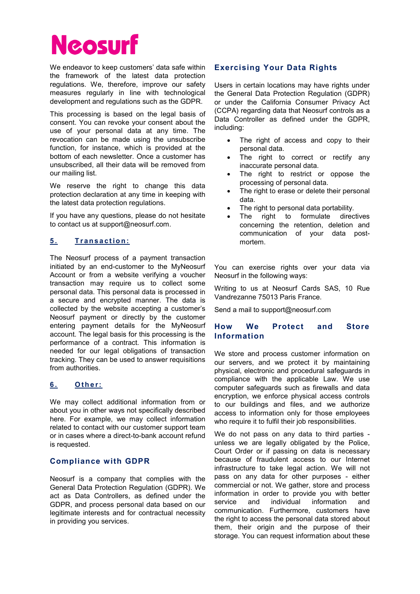

We endeavor to keep customers' data safe within the framework of the latest data protection regulations. We, therefore, improve our safety measures regularly in line with technological development and regulations such as the GDPR.

This processing is based on the legal basis of consent. You can revoke your consent about the use of your personal data at any time. The revocation can be made using the unsubscribe function, for instance, which is provided at the bottom of each newsletter. Once a customer has unsubscribed, all their data will be removed from our mailing list.

We reserve the right to change this data protection declaration at any time in keeping with the latest data protection regulations.

If you have any questions, please do not hesitate to contact us at support@neosurf.com.

# 5. Transaction:

The Neosurf process of a payment transaction initiated by an end-customer to the MyNeosurf Account or from a website verifying a voucher transaction may require us to collect some personal data. This personal data is processed in a secure and encrypted manner. The data is collected by the website accepting a customer's Neosurf payment or directly by the customer entering payment details for the MyNeosurf account. The legal basis for this processing is the performance of a contract. This information is needed for our legal obligations of transaction tracking. They can be used to answer requisitions from authorities.

# 6. Other:

We may collect additional information from or about you in other ways not specifically described here. For example, we may collect information related to contact with our customer support team or in cases where a direct-to-bank account refund is requested.

#### Compliance with GDPR

Neosurf is a company that complies with the General Data Protection Regulation (GDPR). We act as Data Controllers, as defined under the GDPR, and process personal data based on our legitimate interests and for contractual necessity in providing you services.

# Exercising Your Data Rights

Users in certain locations may have rights under the General Data Protection Regulation (GDPR) or under the California Consumer Privacy Act (CCPA) regarding data that Neosurf controls as a Data Controller as defined under the GDPR, including:

- The right of access and copy to their personal data.
- The right to correct or rectify any inaccurate personal data.
- The right to restrict or oppose the processing of personal data.
- The right to erase or delete their personal data.
- The right to personal data portability.
- The right to formulate directives concerning the retention, deletion and communication of your data postmortem.

You can exercise rights over your data via Neosurf in the following ways:

Writing to us at Neosurf Cards SAS, 10 Rue Vandrezanne 75013 Paris France.

Send a mail to support@neosurf.com

### How We Protect and Store Information

We store and process customer information on our servers, and we protect it by maintaining physical, electronic and procedural safeguards in compliance with the applicable Law. We use computer safeguards such as firewalls and data encryption, we enforce physical access controls to our buildings and files, and we authorize access to information only for those employees who require it to fulfil their job responsibilities.

We do not pass on any data to third parties unless we are legally obligated by the Police, Court Order or if passing on data is necessary because of fraudulent access to our Internet infrastructure to take legal action. We will not pass on any data for other purposes - either commercial or not. We gather, store and process information in order to provide you with better service and individual information and communication. Furthermore, customers have the right to access the personal data stored about them, their origin and the purpose of their storage. You can request information about these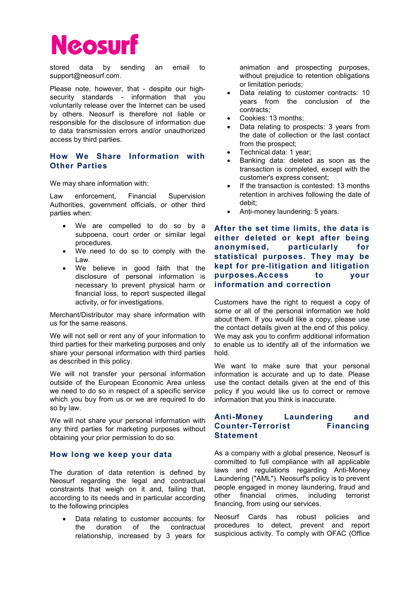stored data by sending an email to support@neosurf.com.

Please note, however, that - despite our highsecurity standards - information that you voluntarily release over the Internet can be used by others. Neosurf is therefore not liable or responsible for the disclosure of information due to data transmission errors and/or unauthorized access by third parties.

# How We Share Information with Other Parties

We may share information with:

Law enforcement, Financial Supervision Authorities, government officials, or other third parties when:

- We are compelled to do so by a subpoena, court order or similar legal procedures.
- We need to do so to comply with the Law.
- We believe in good faith that the disclosure of personal information is necessary to prevent physical harm or financial loss, to report suspected illegal activity, or for investigations.

Merchant/Distributor may share information with us for the same reasons.

We will not sell or rent any of your information to third parties for their marketing purposes and only share your personal information with third parties as described in this policy.

We will not transfer your personal information outside of the European Economic Area unless we need to do so in respect of a specific service which you buy from us or we are required to do so by law.

We will not share your personal information with any third parties for marketing purposes without obtaining your prior permission to do so.

#### How long we keep your data

The duration of data retention is defined by Neosurf regarding the legal and contractual constraints that weigh on it and, failing that, according to its needs and in particular according to the following principles

 Data relating to customer accounts: for the duration of the contractual relationship, increased by 3 years for animation and prospecting purposes, without prejudice to retention obligations or limitation periods;

- Data relating to customer contracts: 10 years from the conclusion of the contracts;
- Cookies: 13 months;
- Data relating to prospects: 3 years from the date of collection or the last contact from the prospect;
- Technical data: 1 year;
- Banking data: deleted as soon as the transaction is completed, except with the customer's express consent;
- If the transaction is contested: 13 months retention in archives following the date of debit;
- Anti-money laundering: 5 years.

After the set time limits, the data is either deleted or kept after being anonymised, particularly for statistical purposes. They may be kept for pre-litigation and litigation purposes.Access to your information and correction

Customers have the right to request a copy of some or all of the personal information we hold about them. If you would like a copy, please use the contact details given at the end of this policy. We may ask you to confirm additional information to enable us to identify all of the information we hold.

We want to make sure that your personal information is accurate and up to date. Please use the contact details given at the end of this policy if you would like us to correct or remove information that you think is inaccurate.

# Anti-Money Laundering and Counter-Terrorist Financing **Statement**

As a company with a global presence, Neosurf is committed to full compliance with all applicable laws and regulations regarding Anti-Money Laundering ("AML"). Neosurf's policy is to prevent people engaged in money laundering, fraud and other financial crimes, including terrorist financing, from using our services.

Neosurf Cards has robust policies and procedures to detect, prevent and report suspicious activity. To comply with OFAC (Office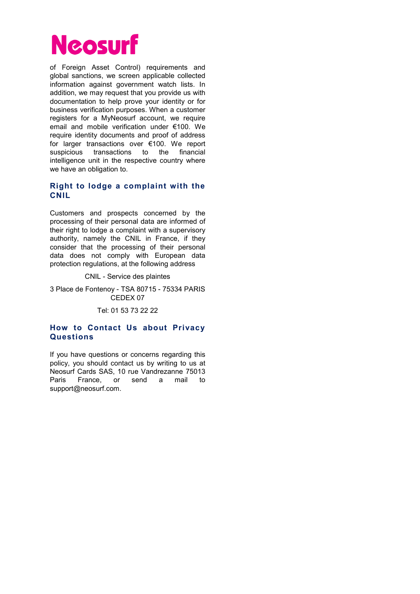

of Foreign Asset Control) requirements and global sanctions, we screen applicable collected information against government watch lists. In addition, we may request that you provide us with documentation to help prove your identity or for business verification purposes. When a customer registers for a MyNeosurf account, we require email and mobile verification under €100. We require identity documents and proof of address for larger transactions over €100. We report suspicious transactions to the financial intelligence unit in the respective country where we have an obligation to.

# Right to lodge a complaint with the CNIL

Customers and prospects concerned by the processing of their personal data are informed of their right to lodge a complaint with a supervisory authority, namely the CNIL in France, if they consider that the processing of their personal data does not comply with European data protection regulations, at the following address

CNIL - Service des plaintes

3 Place de Fontenoy - TSA 80715 - 75334 PARIS CEDEX 07

Tel: 01 53 73 22 22

## How to Contact Us about Privacy Questions

If you have questions or concerns regarding this policy, you should contact us by writing to us at Neosurf Cards SAS, 10 rue Vandrezanne 75013 Paris France, or send a mail to support@neosurf.com.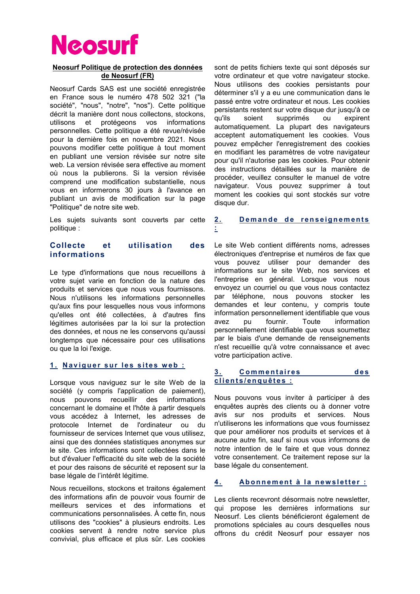#### Neosurf Politique de protection des données de Neosurf (FR)

Neosurf Cards SAS est une société enregistrée en France sous le numéro 478 502 321 ("la société", "nous", "notre", "nos"). Cette politique décrit la manière dont nous collectons, stockons, utilisons et protégeons vos informations personnelles. Cette politique a été revue/révisée pour la dernière fois en novembre 2021. Nous pouvons modifier cette politique à tout moment en publiant une version révisée sur notre site web. La version révisée sera effective au moment où nous la publierons. Si la version révisée comprend une modification substantielle, nous vous en informerons 30 jours à l'avance en publiant un avis de modification sur la page "Politique" de notre site web.

Les sujets suivants sont couverts par cette politique :

### Collecte et utilisation des informations

Le type d'informations que nous recueillons à votre sujet varie en fonction de la nature des produits et services que nous vous fournissons. Nous n'utilisons les informations personnelles qu'aux fins pour lesquelles nous vous informons qu'elles ont été collectées, à d'autres fins légitimes autorisées par la loi sur la protection des données, et nous ne les conservons qu'aussi longtemps que nécessaire pour ces utilisations ou que la loi l'exige.

#### 1. Naviguer sur les sites web :

Lorsque vous naviguez sur le site Web de la société (y compris l'application de paiement), nous pouvons recueillir des informations concernant le domaine et l'hôte à partir desquels vous accédez à Internet, les adresses de protocole Internet de l'ordinateur ou du fournisseur de services Internet que vous utilisez, ainsi que des données statistiques anonymes sur le site. Ces informations sont collectées dans le but d'évaluer l'efficacité du site web de la société et pour des raisons de sécurité et reposent sur la base légale de l'intérêt légitime.

Nous recueillons, stockons et traitons également des informations afin de pouvoir vous fournir de meilleurs services et des informations et communications personnalisées. À cette fin, nous utilisons des "cookies" à plusieurs endroits. Les cookies servent à rendre notre service plus convivial, plus efficace et plus sûr. Les cookies

sont de petits fichiers texte qui sont déposés sur votre ordinateur et que votre navigateur stocke. Nous utilisons des cookies persistants pour déterminer s'il y a eu une communication dans le passé entre votre ordinateur et nous. Les cookies persistants restent sur votre disque dur jusqu'à ce qu'ils soient supprimés ou expirent automatiquement. La plupart des navigateurs acceptent automatiquement les cookies. Vous pouvez empêcher l'enregistrement des cookies en modifiant les paramètres de votre navigateur pour qu'il n'autorise pas les cookies. Pour obtenir des instructions détaillées sur la manière de procéder, veuillez consulter le manuel de votre navigateur. Vous pouvez supprimer à tout moment les cookies qui sont stockés sur votre disque dur.

#### 2. Demande de renseignements :

Le site Web contient différents noms, adresses électroniques d'entreprise et numéros de fax que vous pouvez utiliser pour demander des informations sur le site Web, nos services et l'entreprise en général. Lorsque vous nous envoyez un courriel ou que vous nous contactez par téléphone, nous pouvons stocker les demandes et leur contenu, y compris toute information personnellement identifiable que vous avez pu fournir. Toute information personnellement identifiable que vous soumettez par le biais d'une demande de renseignements n'est recueillie qu'à votre connaissance et avec votre participation active.

#### 3. Commentaires des clients/enquêtes :

Nous pouvons vous inviter à participer à des enquêtes auprès des clients ou à donner votre avis sur nos produits et services. Nous n'utiliserons les informations que vous fournissez que pour améliorer nos produits et services et à aucune autre fin, sauf si nous vous informons de notre intention de le faire et que vous donnez votre consentement. Ce traitement repose sur la base légale du consentement.

# 4. Abonnement à la newsletter :

Les clients recevront désormais notre newsletter, qui propose les dernières informations sur Neosurf. Les clients bénéficieront également de promotions spéciales au cours desquelles nous offrons du crédit Neosurf pour essayer nos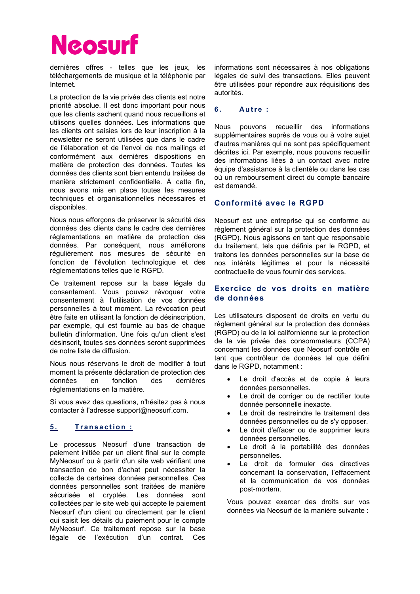dernières offres - telles que les jeux, les téléchargements de musique et la téléphonie par Internet.

La protection de la vie privée des clients est notre priorité absolue. Il est donc important pour nous que les clients sachent quand nous recueillons et utilisons quelles données. Les informations que les clients ont saisies lors de leur inscription à la newsletter ne seront utilisées que dans le cadre de l'élaboration et de l'envoi de nos mailings et conformément aux dernières dispositions en matière de protection des données. Toutes les données des clients sont bien entendu traitées de manière strictement confidentielle. À cette fin, nous avons mis en place toutes les mesures techniques et organisationnelles nécessaires et disponibles.

Nous nous efforçons de préserver la sécurité des données des clients dans le cadre des dernières réglementations en matière de protection des données. Par conséquent, nous améliorons régulièrement nos mesures de sécurité en fonction de l'évolution technologique et des réglementations telles que le RGPD.

Ce traitement repose sur la base légale du consentement. Vous pouvez révoquer votre consentement à l'utilisation de vos données personnelles à tout moment. La révocation peut être faite en utilisant la fonction de désinscription, par exemple, qui est fournie au bas de chaque bulletin d'information. Une fois qu'un client s'est désinscrit, toutes ses données seront supprimées de notre liste de diffusion.

Nous nous réservons le droit de modifier à tout moment la présente déclaration de protection des données en fonction des dernières réglementations en la matière.

Si vous avez des questions, n'hésitez pas à nous contacter à l'adresse support@neosurf.com.

# 5. Transaction :

Le processus Neosurf d'une transaction de paiement initiée par un client final sur le compte MyNeosurf ou à partir d'un site web vérifiant une transaction de bon d'achat peut nécessiter la collecte de certaines données personnelles. Ces données personnelles sont traitées de manière sécurisée et cryptée. Les données sont collectées par le site web qui accepte le paiement Neosurf d'un client ou directement par le client qui saisit les détails du paiement pour le compte MyNeosurf. Ce traitement repose sur la base légale de l'exécution d'un contrat. Ces

informations sont nécessaires à nos obligations légales de suivi des transactions. Elles peuvent être utilisées pour répondre aux réquisitions des autorités.

# 6. Autre :

Nous pouvons recueillir des informations supplémentaires auprès de vous ou à votre sujet d'autres manières qui ne sont pas spécifiquement décrites ici. Par exemple, nous pouvons recueillir des informations liées à un contact avec notre équipe d'assistance à la clientèle ou dans les cas où un remboursement direct du compte bancaire est demandé.

# Conformité avec le RGPD

Neosurf est une entreprise qui se conforme au règlement général sur la protection des données (RGPD). Nous agissons en tant que responsable du traitement, tels que définis par le RGPD, et traitons les données personnelles sur la base de nos intérêts légitimes et pour la nécessité contractuelle de vous fournir des services.

# Exercice de vos droits en matière de données

Les utilisateurs disposent de droits en vertu du règlement général sur la protection des données (RGPD) ou de la loi californienne sur la protection de la vie privée des consommateurs (CCPA) concernant les données que Neosurf contrôle en tant que contrôleur de données tel que défini dans le RGPD, notamment :

- Le droit d'accès et de copie à leurs données personnelles.
- Le droit de corriger ou de rectifier toute donnée personnelle inexacte.
- Le droit de restreindre le traitement des données personnelles ou de s'y opposer.
- Le droit d'effacer ou de supprimer leurs données personnelles.
- Le droit à la portabilité des données personnelles.
- Le droit de formuler des directives concernant la conservation, l'effacement et la communication de vos données post-mortem.

Vous pouvez exercer des droits sur vos données via Neosurf de la manière suivante :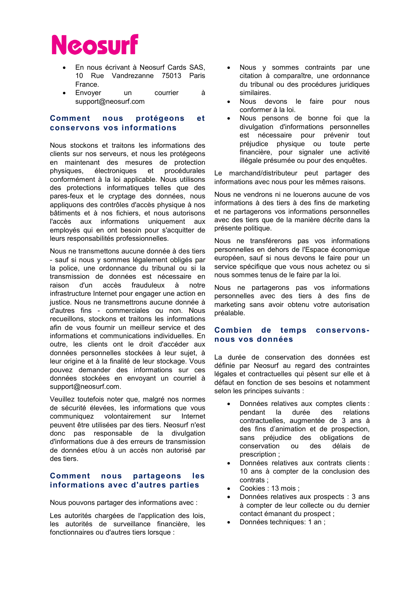- En nous écrivant à Neosurf Cards SAS, 10 Rue Vandrezanne 75013 Paris France.
- Envoyer un courrier à support@neosurf.com

## Comment nous protégeons et conservons vos informations

Nous stockons et traitons les informations des clients sur nos serveurs, et nous les protégeons en maintenant des mesures de protection physiques, électroniques et procédurales conformément à la loi applicable. Nous utilisons des protections informatiques telles que des pares-feux et le cryptage des données, nous appliquons des contrôles d'accès physique à nos bâtiments et à nos fichiers, et nous autorisons l'accès aux informations uniquement aux employés qui en ont besoin pour s'acquitter de leurs responsabilités professionnelles.

Nous ne transmettons aucune donnée à des tiers - sauf si nous y sommes légalement obligés par la police, une ordonnance du tribunal ou si la transmission de données est nécessaire en raison d'un accès frauduleux à notre infrastructure Internet pour engager une action en justice. Nous ne transmettrons aucune donnée à d'autres fins - commerciales ou non. Nous recueillons, stockons et traitons les informations afin de vous fournir un meilleur service et des informations et communications individuelles. En outre, les clients ont le droit d'accéder aux données personnelles stockées à leur sujet, à leur origine et à la finalité de leur stockage. Vous pouvez demander des informations sur ces données stockées en envoyant un courriel à support@neosurf.com.

Veuillez toutefois noter que, malgré nos normes de sécurité élevées, les informations que vous communiquez volontairement sur Internet peuvent être utilisées par des tiers. Neosurf n'est donc pas responsable de la divulgation d'informations due à des erreurs de transmission de données et/ou à un accès non autorisé par des tiers.

### Comment nous partageons les informations avec d'autres parties

Nous pouvons partager des informations avec :

Les autorités chargées de l'application des lois. les autorités de surveillance financière, les fonctionnaires ou d'autres tiers lorsque :

- Nous y sommes contraints par une citation à comparaître, une ordonnance du tribunal ou des procédures juridiques similaires.
- Nous devons le faire pour nous conformer à la loi.
- Nous pensons de bonne foi que la divulgation d'informations personnelles est nécessaire pour prévenir tout préjudice physique ou toute perte financière, pour signaler une activité illégale présumée ou pour des enquêtes.

Le marchand/distributeur peut partager des informations avec nous pour les mêmes raisons.

Nous ne vendrons ni ne louerons aucune de vos informations à des tiers à des fins de marketing et ne partagerons vos informations personnelles avec des tiers que de la manière décrite dans la présente politique.

Nous ne transférerons pas vos informations personnelles en dehors de l'Espace économique européen, sauf si nous devons le faire pour un service spécifique que vous nous achetez ou si nous sommes tenus de le faire par la loi.

Nous ne partagerons pas vos informations personnelles avec des tiers à des fins de marketing sans avoir obtenu votre autorisation préalable.

## Combien de temps conservonsnous vos données

La durée de conservation des données est définie par Neosurf au regard des contraintes légales et contractuelles qui pèsent sur elle et à défaut en fonction de ses besoins et notamment selon les principes suivants :

- Données relatives aux comptes clients : pendant la durée des relations contractuelles, augmentée de 3 ans à des fins d'animation et de prospection, sans préjudice des obligations de conservation ou des délais de prescription ;
- Données relatives aux contrats clients : 10 ans à compter de la conclusion des contrats ;
- Cookies : 13 mois ;
- Données relatives aux prospects : 3 ans à compter de leur collecte ou du dernier contact émanant du prospect ;
- Données techniques: 1 an ;